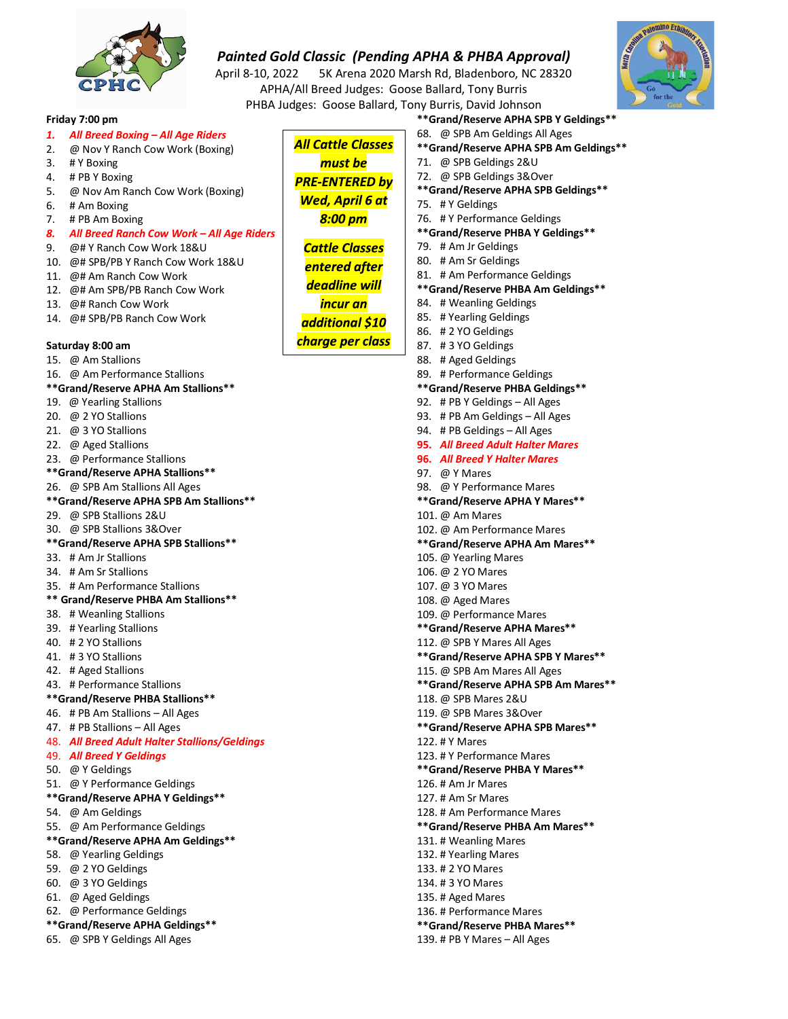

April 8-10, 2022 5K Arena 2020 Marsh Rd, Bladenboro, NC 28320 APHA/All Breed Judges: Goose Ballard, Tony Burris PHBA Judges: Goose Ballard, Tony Burris, David Johnson



#### **Friday 7:00 pm**

- *1. All Breed Boxing – All Age Riders*
- 2. @ Nov Y Ranch Cow Work (Boxing)
- 3. # Y Boxing
- 4. # PB Y Boxing
- 5. @ Nov Am Ranch Cow Work (Boxing)
- 6. # Am Boxing
- 7. # PB Am Boxing

## *8. All Breed Ranch Cow Work – All Age Riders*

- 9. @# Y Ranch Cow Work 18&U
- 10. @# SPB/PB Y Ranch Cow Work 18&U
- 11. @# Am Ranch Cow Work
- 12. @# Am SPB/PB Ranch Cow Work
- 13. @# Ranch Cow Work
- 14. @# SPB/PB Ranch Cow Work

### **Saturday 8:00 am**

- 15. @ Am Stallions
- 16. @ Am Performance Stallions

### **\*\*Grand/Reserve APHA Am Stallions\*\***

- 19. @ Yearling Stallions
- 20. @ 2 YO Stallions
- 21. @ 3 YO Stallions
- 22. @ Aged Stallions
- 23. @ Performance Stallions
- **\*\*Grand/Reserve APHA Stallions\*\***

#### 26. @ SPB Am Stallions All Ages

- **\*\*Grand/Reserve APHA SPB Am Stallions\*\***
- 29. @ SPB Stallions 2&U
- 30. @ SPB Stallions 3&Over
- **\*\*Grand/Reserve APHA SPB Stallions\*\***
- 33. # Am Jr Stallions
- 34. # Am Sr Stallions
- 35. # Am Performance Stallions
- **\*\* Grand/Reserve PHBA Am Stallions\*\***
- 38. # Weanling Stallions
- 39. # Yearling Stallions
- 40. # 2 YO Stallions
- 41. # 3 YO Stallions
- 42. # Aged Stallions
- 43. # Performance Stallions

#### **\*\*Grand/Reserve PHBA Stallions\*\***

- 46. # PB Am Stallions All Ages
- 47. # PB Stallions All Ages
- 48. *All Breed Adult Halter Stallions/Geldings*
- 49. *All Breed Y Geldings*
- 50. @ Y Geldings
- 51. @ Y Performance Geldings
- **\*\*Grand/Reserve APHA Y Geldings\*\***
- 54. @ Am Geldings
- 55. @ Am Performance Geldings

# **\*\*Grand/Reserve APHA Am Geldings\*\***

- 58. @ Yearling Geldings
- 59. @ 2 YO Geldings
- 60. @ 3 YO Geldings
- 61. @ Aged Geldings
- 62. @ Performance Geldings

#### **\*\*Grand/Reserve APHA Geldings\*\***

65. @ SPB Y Geldings All Ages

**\*\*Grand/Reserve APHA SPB Y Geldings\*\*** 68. @ SPB Am Geldings All Ages **\*\*Grand/Reserve APHA SPB Am Geldings\*\*** 71. @ SPB Geldings 2&U 72. @ SPB Geldings 3&Over **\*\*Grand/Reserve APHA SPB Geldings\*\*** 75. # Y Geldings 76. # Y Performance Geldings **\*\*Grand/Reserve PHBA Y Geldings\*\*** 79. # Am Jr Geldings 80. # Am Sr Geldings 81. # Am Performance Geldings **\*\*Grand/Reserve PHBA Am Geldings\*\*** 84. # Weanling Geldings 85. # Yearling Geldings 86. # 2 YO Geldings 87. # 3 YO Geldings 88. # Aged Geldings 89. # Performance Geldings **\*\*Grand/Reserve PHBA Geldings\*\*** 92. # PB Y Geldings – All Ages 93. # PB Am Geldings – All Ages 94. # PB Geldings – All Ages **95.** *All Breed Adult Halter Mares* **96.** *All Breed Y Halter Mares* 97. @ Y Mares 98. @ Y Performance Mares **\*\*Grand/Reserve APHA Y Mares\*\*** 101. @ Am Mares 102. @ Am Performance Mares **\*\*Grand/Reserve APHA Am Mares\*\*** 105. @ Yearling Mares 106. @ 2 YO Mares 107. @ 3 YO Mares 108. @ Aged Mares 109. @ Performance Mares **\*\*Grand/Reserve APHA Mares\*\*** 112. @ SPB Y Mares All Ages **\*\*Grand/Reserve APHA SPB Y Mares\*\*** 115. @ SPB Am Mares All Ages **\*\*Grand/Reserve APHA SPB Am Mares\*\*** 118. @ SPB Mares 2&U 119. @ SPB Mares 3&Over **\*\*Grand/Reserve APHA SPB Mares\*\*** 122. # Y Mares 123. # Y Performance Mares **\*\*Grand/Reserve PHBA Y Mares\*\*** 126. # Am Jr Mares 127. # Am Sr Mares 128. # Am Performance Mares **\*\*Grand/Reserve PHBA Am Mares\*\*** 131. # Weanling Mares 132. # Yearling Mares 133. # 2 YO Mares 134. # 3 YO Mares 135. # Aged Mares 136. # Performance Mares **\*\*Grand/Reserve PHBA Mares\*\***

139. # PB Y Mares – All Ages

**Wed, April 6 at** 8:00 pm

**All Cattle Classes** must be **PRE-ENTERED by** 

- 
- additional \$10
- 
- **Cattle Classes entered after**
- **deadline** will
- incur an
- charge per class
- -
	-

- 
- 
- 
- 
- 
- 
- 
- 
- 
- 
- 
- 
- 
- 
-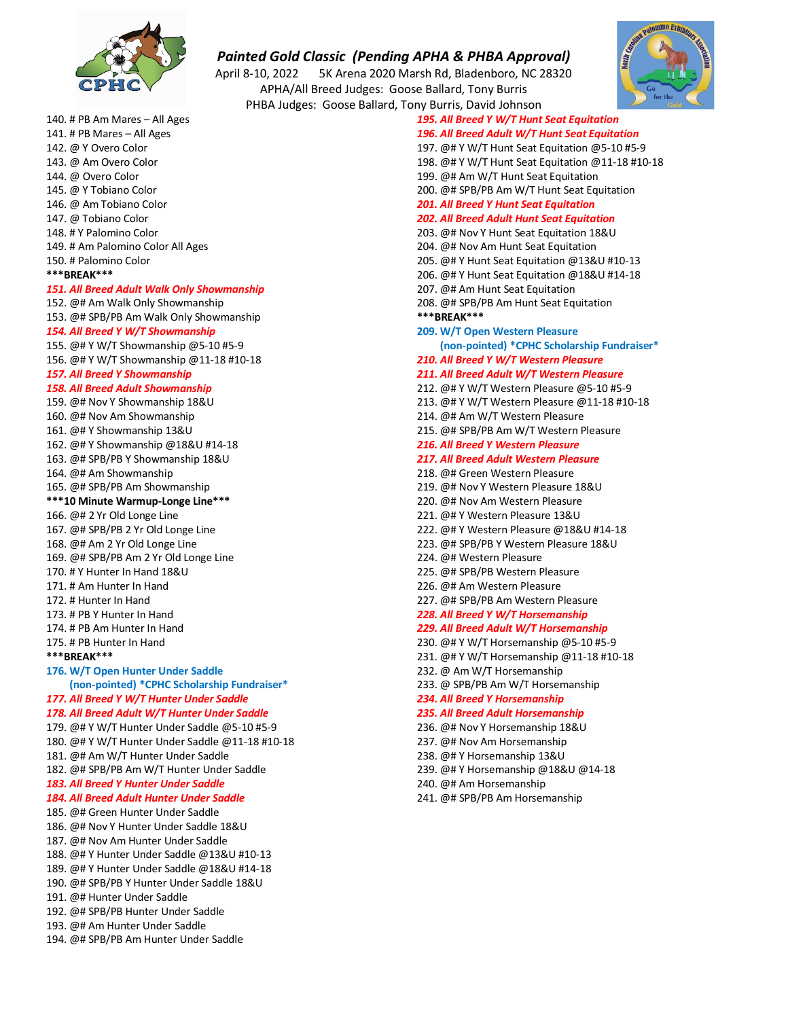

April 8-10, 2022 5K Arena 2020 Marsh Rd, Bladenboro, NC 28320 APHA/All Breed Judges: Goose Ballard, Tony Burris PHBA Judges: Goose Ballard, Tor



| 140. # PB Am Mares – All Ages                                     |
|-------------------------------------------------------------------|
| 141. # PB Mares – All Ages                                        |
| 142. @ Y Overo Color                                              |
| 143. @ Am Overo Color                                             |
| 144. @ Overo Color                                                |
| 145. @ Y Tobiano Color                                            |
| 146. @ Am Tobiano Color                                           |
| 147. @ Tobiano Color                                              |
| 148. # Y Palomino Color                                           |
| 149. # Am Palomino Color All Ages                                 |
| 150. # Palomino Color                                             |
| ***BREAK***                                                       |
| 151. All Breed Adult Walk Only Showmanship                        |
| 152. @# Am Walk Only Showmanship                                  |
| 153. @# SPB/PB Am Walk Only Showmanship                           |
| 154. All Breed Y W/T Showmanship                                  |
| 155. @# Y W/T Showmanship @5-10 #5-9                              |
| 156. @# Y W/T Showmanship @11-18 #10-18                           |
| 157. All Breed Y Showmanship                                      |
| <b>158. All Breed Adult Showmanship</b>                           |
| 159. @# Nov Y Showmanship 18&U                                    |
| 160. @# Nov Am Showmanship                                        |
| 161. @# Y Showmanship 13&U                                        |
| 162. @# Y Showmanship @18&U #14-18                                |
| 163. @# SPB/PB Y Showmanship 18&U                                 |
| 164. @# Am Showmanship                                            |
| 165. @# SPB/PB Am Showmanship                                     |
| ***10 Minute Warmup-Longe Line***                                 |
| 166. @# 2 Yr Old Longe Line<br>167. @# SPB/PB 2 Yr Old Longe Line |
| 168. @# Am 2 Yr Old Longe Line                                    |
| 169. @# SPB/PB Am 2 Yr Old Longe Line                             |
| 170. # Y Hunter In Hand 18&U                                      |
| 171. # Am Hunter In Hand                                          |
| 172. # Hunter In Hand                                             |
| 173. # PB Y Hunter In Hand                                        |
| 174. # PB Am Hunter In Hand                                       |
| 175. # PB Hunter In Hand                                          |
| *** RRFAK***                                                      |
| 176. W/T Open Hunter Under Saddle                                 |
| (non-pointed) *CPHC Scholarship Fundraiser*                       |
| 177. All Breed Y W/T Hunter Under Saddle                          |
| 178. All Breed Adult W/T Hunter Under Saddle                      |
| 179. @# Y W/T Hunter Under Saddle @5-10 #5-9                      |
| 180. @# Y W/T Hunter Under Saddle @11-18 #10-18                   |
| 181. @# Am W/T Hunter Under Saddle                                |
| 182. @# SPB/PB Am W/T Hunter Under Saddle                         |
| 183. All Breed Y Hunter Under Saddle                              |
| 184. All Breed Adult Hunter Under Saddle                          |
| 185. @# Green Hunter Under Saddle                                 |
| 186. @# Nov Y Hunter Under Saddle 18&U                            |
| 187. @# Nov Am Hunter Under Saddle                                |
| 188. @# Y Hunter Under Saddle @13&U #10-13                        |
| 189. @# Y Hunter Under Saddle @18&U #14-18                        |
| 190. @# SPB/PB Y Hunter Under Saddle 18&U                         |
| 191. @# Hunter Under Saddle                                       |
| 192. @# SPB/PB Hunter Under Saddle                                |
| 193. @# Am Hunter Under Saddle                                    |
| 194. @# SPB/PB Am Hunter Under Saddle                             |

| ny Burris, David Johnson                         |  |
|--------------------------------------------------|--|
| 195. All Breed Y W/T Hunt Seat Equitation        |  |
| 196. All Breed Adult W/T Hunt Seat Equitation    |  |
| 197. @# Y W/T Hunt Seat Equitation @5-10 #5-9    |  |
| 198. @# Y W/T Hunt Seat Equitation @11-18 #10-18 |  |
| 199. @# Am W/T Hunt Seat Equitation              |  |
| 200. @# SPB/PB Am W/T Hunt Seat Equitation       |  |
| <b>201. All Breed Y Hunt Seat Equitation</b>     |  |
| <b>202. All Breed Adult Hunt Seat Equitation</b> |  |
| 203. @# Nov Y Hunt Seat Equitation 18&U          |  |
| 204. @# Nov Am Hunt Seat Equitation              |  |
| 205. @# Y Hunt Seat Equitation @13&U #10-13      |  |
| 206. @# Y Hunt Seat Equitation @18&U #14-18      |  |
| 207. @# Am Hunt Seat Equitation                  |  |
| 208. @# SPB/PB Am Hunt Seat Equitation           |  |
| *** BREAK***                                     |  |
| 209. W/T Open Western Pleasure                   |  |
| (non-pointed) *CPHC Scholarship Fundraiser*      |  |
| 210. All Breed Y W/T Western Pleasure            |  |
| 211. All Breed Adult W/T Western Pleasure        |  |
| 212. @# Y W/T Western Pleasure @5-10 #5-9        |  |
| 213. @# Y W/T Western Pleasure @11-18 #10-18     |  |
| 214. @# Am W/T Western Pleasure                  |  |
| 215. @# SPB/PB Am W/T Western Pleasure           |  |
| <b>216. All Breed Y Western Pleasure</b>         |  |
| 217. All Breed Adult Western Pleasure            |  |
| 218. @# Green Western Pleasure                   |  |
| 219. @# Nov Y Western Pleasure 18&U              |  |
| 220. @# Nov Am Western Pleasure                  |  |
| 221. @# Y Western Pleasure 13&U                  |  |
| 222. @# Y Western Pleasure @18&U #14-18          |  |
| 223. @# SPB/PB Y Western Pleasure 18&U           |  |
| 224. @# Western Pleasure                         |  |
| 225. @# SPB/PB Western Pleasure                  |  |
| 226. @# Am Western Pleasure                      |  |
| 227. @# SPB/PB Am Western Pleasure               |  |
| 228. All Breed Y W/T Horsemanship                |  |
| 229. All Breed Adult W/T Horsemanship            |  |
| 230. @# Y W/T Horsemanship @5-10 #5-9            |  |
| 231. @# Y W/T Horsemanship @11-18 #10-18         |  |
| 232. @ Am W/T Horsemanship                       |  |
| 233. @ SPB/PB Am W/T Horsemanship                |  |
| <b>234. All Breed Y Horsemanship</b>             |  |
| 235. All Breed Adult Horsemanship                |  |
| 236. @# Nov Y Horsemanship 18&U                  |  |
| 237. @# Nov Am Horsemanship                      |  |
| 238. @# Y Horsemanship 13&U                      |  |
| 239. @# Y Horsemanship @18&U @14-18              |  |
| 240. @# Am Horsemanship                          |  |
| 241. @# SPB/PB Am Horsemanship                   |  |
|                                                  |  |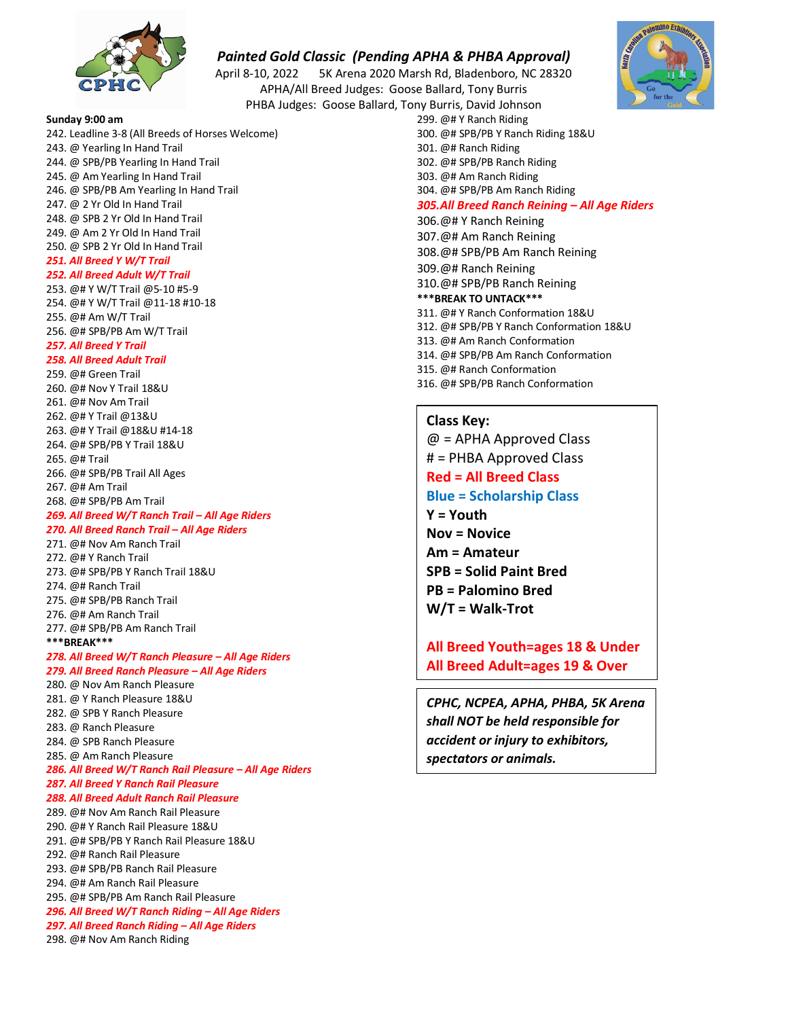

April 8-10, 2022 5K Arena 2020 Marsh Rd, Bladenboro, NC 28320 APHA/All Breed Judges: Goose Ballard, Tony Burris

PHBA Judges: Goose Ballard, Tony Burris, David Johnson

**Sunday 9:00 am** 242. Leadline 3-8 (All Breeds of Horses Welcome) 243. @ Yearling In Hand Trail 244. @ SPB/PB Yearling In Hand Trail 245. @ Am Yearling In Hand Trail 246. @ SPB/PB Am Yearling In Hand Trail 247. @ 2 Yr Old In Hand Trail 248. @ SPB 2 Yr Old In Hand Trail 249. @ Am 2 Yr Old In Hand Trail 250. @ SPB 2 Yr Old In Hand Trail *251. All Breed Y W/T Trail 252. All Breed Adult W/T Trail* 253. @# Y W/T Trail @5-10 #5-9 254. @# Y W/T Trail @11-18 #10-18 255. @# Am W/T Trail 256. @# SPB/PB Am W/T Trail *257. All Breed Y Trail 258. All Breed Adult Trail* 259. @# Green Trail 260. @# Nov Y Trail 18&U 261. @# Nov Am Trail 262. @# Y Trail @13&U 263. @# Y Trail @18&U #14-18 264. @# SPB/PB Y Trail 18&U 265. @# Trail 266. @# SPB/PB Trail All Ages 267. @# Am Trail 268. @# SPB/PB Am Trail *269. All Breed W/T Ranch Trail – All Age Riders 270. All Breed Ranch Trail – All Age Riders* 271. @# Nov Am Ranch Trail 272. @# Y Ranch Trail 273. @# SPB/PB Y Ranch Trail 18&U 274. @# Ranch Trail 275. @# SPB/PB Ranch Trail 276. @# Am Ranch Trail 277. @# SPB/PB Am Ranch Trail **\*\*\*BREAK\*\*\*** *278. All Breed W/T Ranch Pleasure – All Age Riders 279. All Breed Ranch Pleasure – All Age Riders* 280. @ Nov Am Ranch Pleasure 281. @ Y Ranch Pleasure 18&U 282. @ SPB Y Ranch Pleasure 283. @ Ranch Pleasure 284. @ SPB Ranch Pleasure 285. @ Am Ranch Pleasure *286. All Breed W/T Ranch Rail Pleasure – All Age Riders 287. All Breed Y Ranch Rail Pleasure 288. All Breed Adult Ranch Rail Pleasure* 289. @# Nov Am Ranch Rail Pleasure 290. @# Y Ranch Rail Pleasure 18&U 291. @# SPB/PB Y Ranch Rail Pleasure 18&U 292. @# Ranch Rail Pleasure 293. @# SPB/PB Ranch Rail Pleasure 294. @# Am Ranch Rail Pleasure

- 295. @# SPB/PB Am Ranch Rail Pleasure
- *296. All Breed W/T Ranch Riding – All Age Riders*
- *297. All Breed Ranch Riding – All Age Riders*
- 298. @# Nov Am Ranch Riding
- 300. @# SPB/PB Y Ranch Riding 18&U 301. @# Ranch Riding 302. @# SPB/PB Ranch Riding 303. @# Am Ranch Riding 304. @# SPB/PB Am Ranch Riding *305.All Breed Ranch Reining – All Age Riders* 306.@# Y Ranch Reining 307.@# Am Ranch Reining 308.@# SPB/PB Am Ranch Reining 309.@# Ranch Reining 310.@# SPB/PB Ranch Reining **\*\*\*BREAK TO UNTACK\*\*\***
- 311. @# Y Ranch Conformation 18&U
- 312. @# SPB/PB Y Ranch Conformation 18&U
- 313. @# Am Ranch Conformation
- 314. @# SPB/PB Am Ranch Conformation
- 315. @# Ranch Conformation

299. @# Y Ranch Riding

316. @# SPB/PB Ranch Conformation

# **Class Key:**

 $@ = APHA$  Approved Class # = PHBA Approved Class **Red = All Breed Class Blue = Scholarship Class Y = Youth Nov = Novice Am = Amateur SPB = Solid Paint Bred PB = Palomino Bred W/T = Walk-Trot**

# **All Breed Youth=ages 18 & Under All Breed Adult=ages 19 & Over**

*CPHC, NCPEA, APHA, PHBA, 5K Arena shall NOT be held responsible for accident or injury to exhibitors, spectators or animals.*